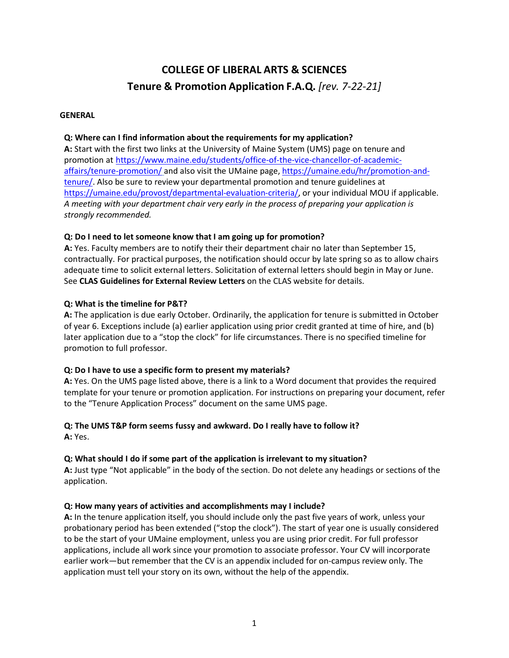## **COLLEGE OF LIBERAL ARTS & SCIENCES Tenure & Promotion Application F.A.Q.** *[rev. 7-22-21]*

#### **GENERAL**

## **Q: Where can I find information about the requirements for my application?**

**A:** Start with the first two links at the University of Maine System (UMS) page on tenure and promotion at [https://www.maine.edu/students/office-of-the-vice-chancellor-of-academic](https://www.maine.edu/students/office-of-the-vice-chancellor-of-academic-affairs/tenure-promotion/)[affairs/tenure-promotion/](https://www.maine.edu/students/office-of-the-vice-chancellor-of-academic-affairs/tenure-promotion/) and also visit the UMaine page[, https://umaine.edu/hr/promotion-and](https://umaine.edu/hr/promotion-and-tenure/)[tenure/.](https://umaine.edu/hr/promotion-and-tenure/) Also be sure to review your departmental promotion and tenure guidelines at [https://umaine.edu/provost/departmental-evaluation-criteria/,](https://umaine.edu/provost/departmental-evaluation-criteria/) or your individual MOU if applicable. *A meeting with your department chair very early in the process of preparing your application is strongly recommended.*

## **Q: Do I need to let someone know that I am going up for promotion?**

**A:** Yes. Faculty members are to notify their their department chair no later than September 15, contractually. For practical purposes, the notification should occur by late spring so as to allow chairs adequate time to solicit external letters. Solicitation of external letters should begin in May or June. See **CLAS Guidelines for External Review Letters** on the CLAS website for details.

#### **Q: What is the timeline for P&T?**

**A:** The application is due early October. Ordinarily, the application for tenure is submitted in October of year 6. Exceptions include (a) earlier application using prior credit granted at time of hire, and (b) later application due to a "stop the clock" for life circumstances. There is no specified timeline for promotion to full professor.

#### **Q: Do I have to use a specific form to present my materials?**

**A:** Yes. On the UMS page listed above, there is a link to a Word document that provides the required template for your tenure or promotion application. For instructions on preparing your document, refer to the "Tenure Application Process" document on the same UMS page.

# **Q: The UMS T&P form seems fussy and awkward. Do I really have to follow it?**

**A:** Yes.

## **Q: What should I do if some part of the application is irrelevant to my situation?**

**A:** Just type "Not applicable" in the body of the section. Do not delete any headings or sections of the application.

#### **Q: How many years of activities and accomplishments may I include?**

**A:** In the tenure application itself, you should include only the past five years of work, unless your probationary period has been extended ("stop the clock"). The start of year one is usually considered to be the start of your UMaine employment, unless you are using prior credit. For full professor applications, include all work since your promotion to associate professor. Your CV will incorporate earlier work—but remember that the CV is an appendix included for on-campus review only. The application must tell your story on its own, without the help of the appendix.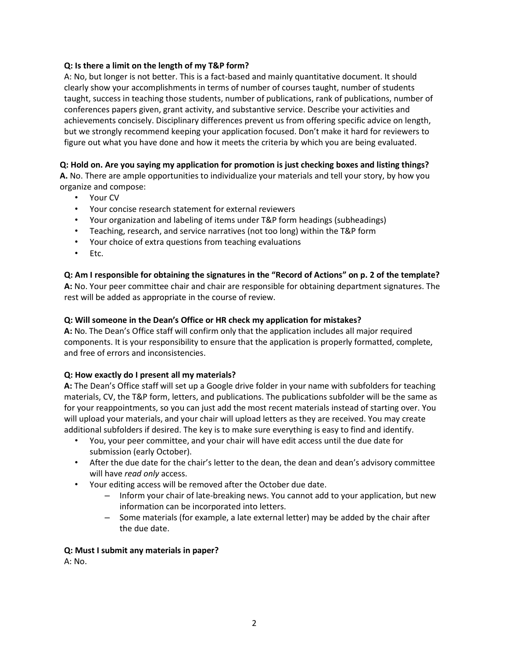## **Q: Is there a limit on the length of my T&P form?**

A: No, but longer is not better. This is a fact-based and mainly quantitative document. It should clearly show your accomplishments in terms of number of courses taught, number of students taught, success in teaching those students, number of publications, rank of publications, number of conferences papers given, grant activity, and substantive service. Describe your activities and achievements concisely. Disciplinary differences prevent us from offering specific advice on length, but we strongly recommend keeping your application focused. Don't make it hard for reviewers to figure out what you have done and how it meets the criteria by which you are being evaluated.

## **Q: Hold on. Are you saying my application for promotion is just checking boxes and listing things?**

**A.** No. There are ample opportunities to individualize your materials and tell your story, by how you organize and compose:

- Your CV
- Your concise research statement for external reviewers
- Your organization and labeling of items under T&P form headings (subheadings)
- Teaching, research, and service narratives (not too long) within the T&P form
- Your choice of extra questions from teaching evaluations
- Etc.

## **Q: Am I responsible for obtaining the signatures in the "Record of Actions" on p. 2 of the template?**

**A:** No. Your peer committee chair and chair are responsible for obtaining department signatures. The rest will be added as appropriate in the course of review.

## **Q: Will someone in the Dean's Office or HR check my application for mistakes?**

**A:** No. The Dean's Office staff will confirm only that the application includes all major required components. It is your responsibility to ensure that the application is properly formatted, complete, and free of errors and inconsistencies.

#### **Q: How exactly do I present all my materials?**

**A:** The Dean's Office staff will set up a Google drive folder in your name with subfolders for teaching materials, CV, the T&P form, letters, and publications. The publications subfolder will be the same as for your reappointments, so you can just add the most recent materials instead of starting over. You will upload your materials, and your chair will upload letters as they are received. You may create additional subfolders if desired. The key is to make sure everything is easy to find and identify.

- You, your peer committee, and your chair will have edit access until the due date for submission (early October).
- After the due date for the chair's letter to the dean, the dean and dean's advisory committee will have *read only* access.
- Your editing access will be removed after the October due date.
	- Inform your chair of late-breaking news. You cannot add to your application, but new information can be incorporated into letters.
	- Some materials (for example, a late external letter) may be added by the chair after the due date.

#### **Q: Must I submit any materials in paper?**

A: No.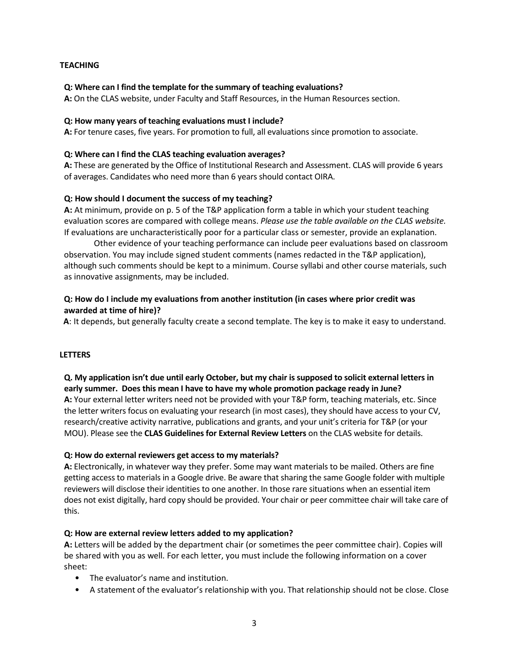## **TEACHING**

#### **Q: Where can I find the template for the summary of teaching evaluations?**

**A:** On the CLAS website, under Faculty and Staff Resources, in the Human Resources section.

#### **Q: How many years of teaching evaluations must I include?**

**A:** For tenure cases, five years. For promotion to full, all evaluations since promotion to associate.

#### **Q: Where can I find the CLAS teaching evaluation averages?**

**A:** These are generated by the Office of Institutional Research and Assessment. CLAS will provide 6 years of averages. Candidates who need more than 6 years should contact OIRA.

#### **Q: How should I document the success of my teaching?**

**A:** At minimum, provide on p. 5 of the T&P application form a table in which your student teaching evaluation scores are compared with college means. *Please use the table available on the CLAS website.* If evaluations are uncharacteristically poor for a particular class or semester, provide an explanation.

Other evidence of your teaching performance can include peer evaluations based on classroom observation. You may include signed student comments (names redacted in the T&P application), although such comments should be kept to a minimum. Course syllabi and other course materials, such as innovative assignments, may be included.

## **Q: How do I include my evaluations from another institution (in cases where prior credit was awarded at time of hire)?**

**A**: It depends, but generally faculty create a second template. The key is to make it easy to understand.

#### **LETTERS**

**Q. My application isn't due until early October, but my chair is supposed to solicit external letters in early summer. Does this mean I have to have my whole promotion package ready in June? A:** Your external letter writers need not be provided with your T&P form, teaching materials, etc. Since the letter writers focus on evaluating your research (in most cases), they should have access to your CV,

research/creative activity narrative, publications and grants, and your unit's criteria for T&P (or your MOU). Please see the **CLAS Guidelines for External Review Letters** on the CLAS website for details.

#### **Q: How do external reviewers get access to my materials?**

**A:** Electronically, in whatever way they prefer. Some may want materials to be mailed. Others are fine getting access to materials in a Google drive. Be aware that sharing the same Google folder with multiple reviewers will disclose their identities to one another. In those rare situations when an essential item does not exist digitally, hard copy should be provided. Your chair or peer committee chair will take care of this.

#### **Q: How are external review letters added to my application?**

**A:** Letters will be added by the department chair (or sometimes the peer committee chair). Copies will be shared with you as well. For each letter, you must include the following information on a cover sheet:

- The evaluator's name and institution.
- A statement of the evaluator's relationship with you. That relationship should not be close. Close